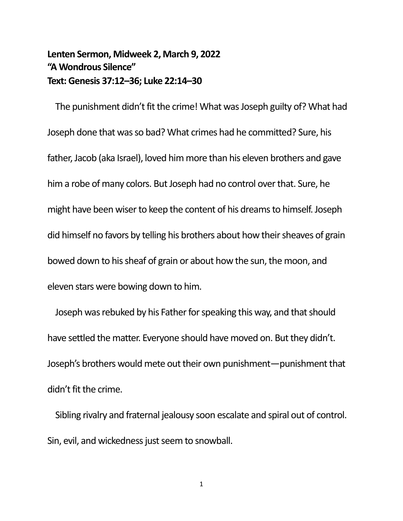## **Lenten Sermon, Midweek 2, March 9, 2022 "A Wondrous Silence" Text: Genesis 37:12–36; Luke 22:14–30**

The punishment didn't fit the crime! What was Joseph guilty of? What had Joseph done that was so bad? What crimes had he committed? Sure, his father, Jacob (aka Israel), loved him more than his eleven brothers and gave him a robe of many colors. But Joseph had no control over that. Sure, he might have been wiser to keep the content of his dreams to himself. Joseph did himself no favors by telling his brothers about how their sheaves of grain bowed down to his sheaf of grain or about how the sun, the moon, and eleven stars were bowing down to him.

Joseph was rebuked by his Father for speaking this way, and that should have settled the matter. Everyone should have moved on. But they didn't. Joseph's brothers would mete out their own punishment—punishment that didn't fit the crime.

Sibling rivalry and fraternal jealousy soon escalate and spiral out of control. Sin, evil, and wickedness just seem to snowball.

1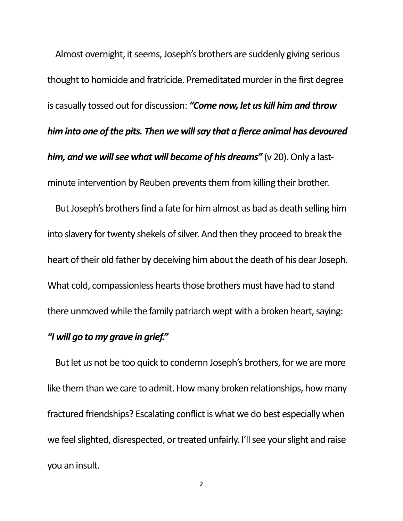Almost overnight, it seems, Joseph's brothers are suddenly giving serious thought to homicide and fratricide. Premeditated murder in the first degree is casually tossed out for discussion: *"Come now, let us kill him and throw him into one of the pits. Then we will say that a fierce animal has devoured him, and we will see what will become of his dreams"* (v 20). Only a lastminute intervention by Reuben prevents them from killing their brother.

But Joseph's brothers find a fate for him almost as bad as death selling him into slavery for twenty shekels of silver. And then they proceed to break the heart of their old father by deceiving him about the death of his dear Joseph. What cold, compassionless hearts those brothers must have had to stand there unmoved while the family patriarch wept with a broken heart, saying:

## *"I will go to my grave in grief."*

But let us not be too quick to condemn Joseph's brothers, for we are more like them than we care to admit. How many broken relationships, how many fractured friendships? Escalating conflict is what we do best especially when we feel slighted, disrespected, or treated unfairly. I'll see your slight and raise you an insult.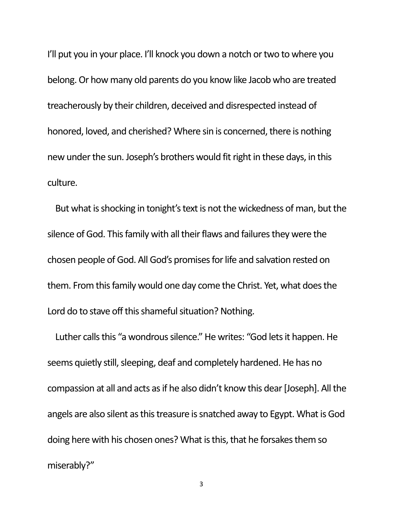I'll put you in your place. I'll knock you down a notch or two to where you belong. Or how many old parents do you know like Jacob who are treated treacherously by their children, deceived and disrespected instead of honored, loved, and cherished? Where sin is concerned, there is nothing new under the sun. Joseph's brothers would fit right in these days, in this culture.

But what is shocking in tonight's text is not the wickedness of man, but the silence of God. This family with all their flaws and failures they were the chosen people of God. All God's promises for life and salvation rested on them. From this family would one day come the Christ. Yet, what does the Lord do to stave off this shameful situation? Nothing.

Luther calls this "a wondrous silence." He writes: "God lets it happen. He seems quietly still, sleeping, deaf and completely hardened. He has no compassion at all and acts as if he also didn't know this dear [Joseph]. All the angels are also silent as this treasure is snatched away to Egypt. What is God doing here with his chosen ones? What is this, that he forsakes them so miserably?"

3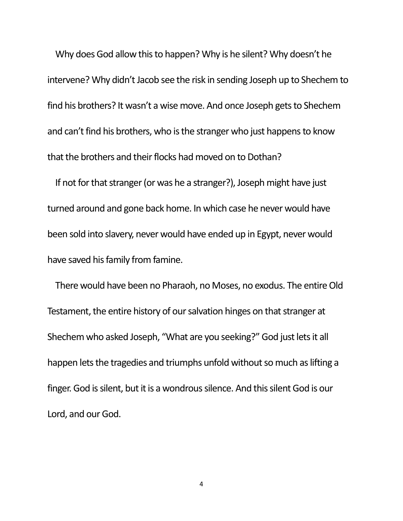Why does God allow this to happen? Why is he silent? Why doesn't he intervene? Why didn't Jacob see the risk in sending Joseph up to Shechem to find his brothers? It wasn't a wise move. And once Joseph gets to Shechem and can't find his brothers, who is the stranger who just happens to know that the brothers and their flocks had moved on to Dothan?

If not for that stranger (or was he a stranger?), Joseph might have just turned around and gone back home. In which case he never would have been sold into slavery, never would have ended up in Egypt, never would have saved his family from famine.

There would have been no Pharaoh, no Moses, no exodus. The entire Old Testament, the entire history of our salvation hinges on that stranger at Shechem who asked Joseph, "What are you seeking?" God just lets it all happen lets the tragedies and triumphs unfold without so much as lifting a finger. God is silent, but it is a wondrous silence. And this silent God is our Lord, and our God.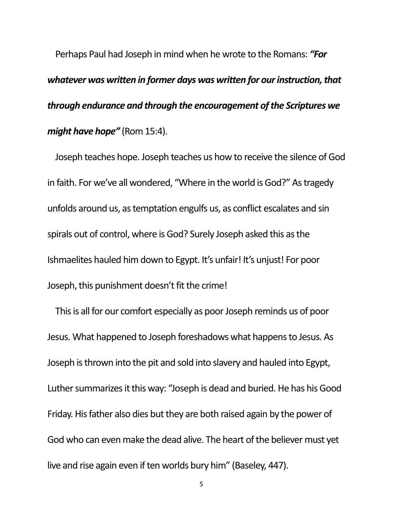Perhaps Paul had Joseph in mind when he wrote to the Romans: *"For whatever was written in former days was written for our instruction, that through endurance and through the encouragement of the Scriptures we might have hope"* (Rom 15:4).

Joseph teaches hope. Joseph teaches us how to receive the silence of God in faith. For we've all wondered, "Where in the world is God?" As tragedy unfolds around us, as temptation engulfs us, as conflict escalates and sin spirals out of control, where is God? Surely Joseph asked this as the Ishmaelites hauled him down to Egypt. It's unfair! It's unjust! For poor Joseph, this punishment doesn't fit the crime!

This is all for our comfort especially as poor Joseph reminds us of poor Jesus. What happened to Joseph foreshadows what happens to Jesus. As Joseph is thrown into the pit and sold into slavery and hauled into Egypt, Luther summarizes it this way: "Joseph is dead and buried. He has his Good Friday. His father also dies but they are both raised again by the power of God who can even make the dead alive. The heart of the believer must yet live and rise again even if ten worlds bury him" (Baseley, 447).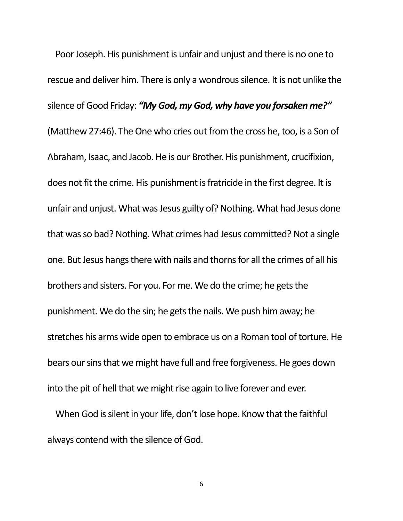Poor Joseph. His punishment is unfair and unjust and there is no one to rescue and deliver him. There is only a wondrous silence. It is not unlike the silence of Good Friday: *"My God, my God, why have you forsaken me?"* (Matthew 27:46). The One who cries out from the cross he, too, is a Son of Abraham, Isaac, and Jacob. He is our Brother. His punishment, crucifixion, does not fit the crime. His punishment is fratricide in the first degree. It is unfair and unjust. What was Jesus guilty of? Nothing. What had Jesus done that was so bad? Nothing. What crimes had Jesus committed? Not a single one. But Jesus hangs there with nails and thorns for all the crimes of all his brothers and sisters. For you. For me. We do the crime; he gets the punishment. We do the sin; he gets the nails. We push him away; he stretches his arms wide open to embrace us on a Roman tool of torture. He bears our sins that we might have full and free forgiveness. He goes down into the pit of hell that we might rise again to live forever and ever.

When God is silent in your life, don't lose hope. Know that the faithful always contend with the silence of God.